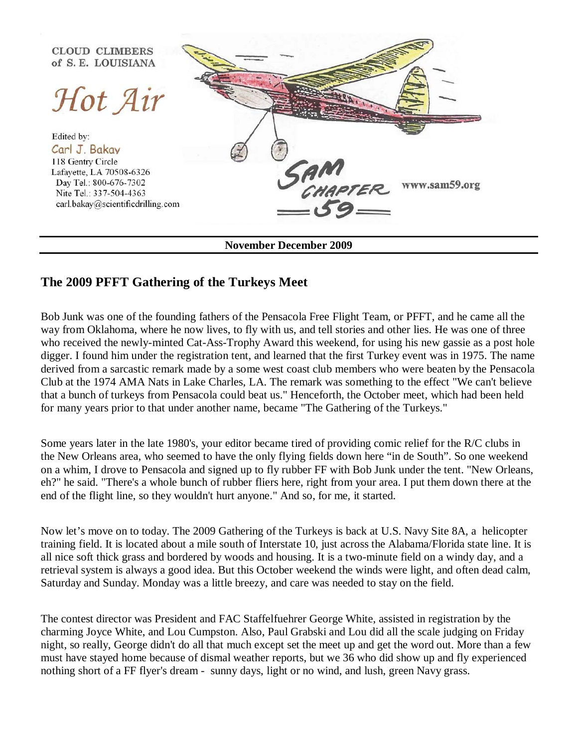

**November December 2009**

## **The 2009 PFFT Gathering of the Turkeys Meet**

Bob Junk was one of the founding fathers of the Pensacola Free Flight Team, or PFFT, and he came all the way from Oklahoma, where he now lives, to fly with us, and tell stories and other lies. He was one of three who received the newly-minted Cat-Ass-Trophy Award this weekend, for using his new gassie as a post hole digger. I found him under the registration tent, and learned that the first Turkey event was in 1975. The name derived from a sarcastic remark made by a some west coast club members who were beaten by the Pensacola Club at the 1974 AMA Nats in Lake Charles, LA. The remark was something to the effect "We can't believe that a bunch of turkeys from Pensacola could beat us." Henceforth, the October meet, which had been held for many years prior to that under another name, became "The Gathering of the Turkeys."

Some years later in the late 1980's, your editor became tired of providing comic relief for the R/C clubs in the New Orleans area, who seemed to have the only flying fields down here "in de South". So one weekend on a whim, I drove to Pensacola and signed up to fly rubber FF with Bob Junk under the tent. "New Orleans, eh?" he said. "There's a whole bunch of rubber fliers here, right from your area. I put them down there at the end of the flight line, so they wouldn't hurt anyone." And so, for me, it started.

Now let's move on to today. The 2009 Gathering of the Turkeys is back at U.S. Navy Site 8A, a helicopter training field. It is located about a mile south of Interstate 10, just across the Alabama/Florida state line. It is all nice soft thick grass and bordered by woods and housing. It is a two-minute field on a windy day, and a retrieval system is always a good idea. But this October weekend the winds were light, and often dead calm, Saturday and Sunday. Monday was a little breezy, and care was needed to stay on the field.

The contest director was President and FAC Staffelfuehrer George White, assisted in registration by the charming Joyce White, and Lou Cumpston. Also, Paul Grabski and Lou did all the scale judging on Friday night, so really, George didn't do all that much except set the meet up and get the word out. More than a few must have stayed home because of dismal weather reports, but we 36 who did show up and fly experienced nothing short of a FF flyer's dream - sunny days, light or no wind, and lush, green Navy grass.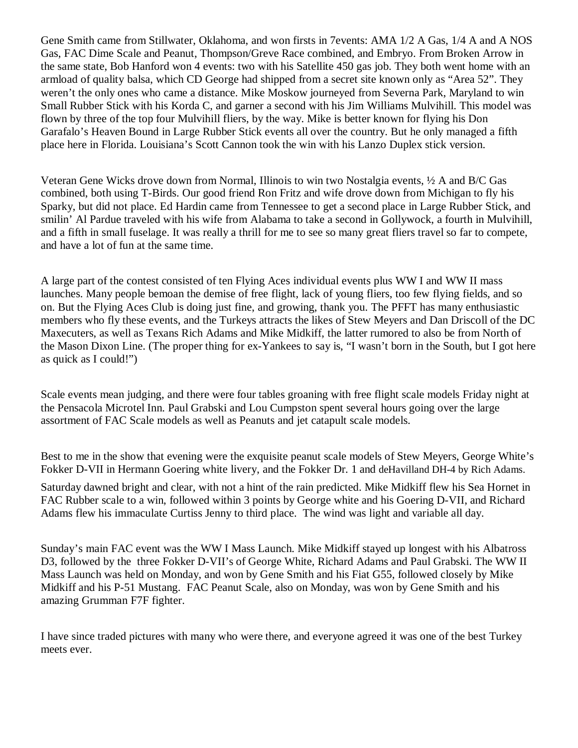Gene Smith came from Stillwater, Oklahoma, and won firsts in 7events: AMA 1/2 A Gas, 1/4 A and A NOS Gas, FAC Dime Scale and Peanut, Thompson/Greve Race combined, and Embryo. From Broken Arrow in the same state, Bob Hanford won 4 events: two with his Satellite 450 gas job. They both went home with an armload of quality balsa, which CD George had shipped from a secret site known only as "Area 52". They weren't the only ones who came a distance. Mike Moskow journeyed from Severna Park, Maryland to win Small Rubber Stick with his Korda C, and garner a second with his Jim Williams Mulvihill. This model was flown by three of the top four Mulvihill fliers, by the way. Mike is better known for flying his Don Garafalo's Heaven Bound in Large Rubber Stick events all over the country. But he only managed a fifth place here in Florida. Louisiana's Scott Cannon took the win with his Lanzo Duplex stick version.

Veteran Gene Wicks drove down from Normal, Illinois to win two Nostalgia events, ½ A and B/C Gas combined, both using T-Birds. Our good friend Ron Fritz and wife drove down from Michigan to fly his Sparky, but did not place. Ed Hardin came from Tennessee to get a second place in Large Rubber Stick, and smilin' Al Pardue traveled with his wife from Alabama to take a second in Gollywock, a fourth in Mulvihill, and a fifth in small fuselage. It was really a thrill for me to see so many great fliers travel so far to compete, and have a lot of fun at the same time.

A large part of the contest consisted of ten Flying Aces individual events plus WW I and WW II mass launches. Many people bemoan the demise of free flight, lack of young fliers, too few flying fields, and so on. But the Flying Aces Club is doing just fine, and growing, thank you. The PFFT has many enthusiastic members who fly these events, and the Turkeys attracts the likes of Stew Meyers and Dan Driscoll of the DC Maxecuters, as well as Texans Rich Adams and Mike Midkiff, the latter rumored to also be from North of the Mason Dixon Line. (The proper thing for ex-Yankees to say is, "I wasn't born in the South, but I got here as quick as I could!")

Scale events mean judging, and there were four tables groaning with free flight scale models Friday night at the Pensacola Microtel Inn. Paul Grabski and Lou Cumpston spent several hours going over the large assortment of FAC Scale models as well as Peanuts and jet catapult scale models.

Best to me in the show that evening were the exquisite peanut scale models of Stew Meyers, George White's Fokker D-VII in Hermann Goering white livery, and the Fokker Dr. 1 and deHavilland DH-4 by Rich Adams.

Saturday dawned bright and clear, with not a hint of the rain predicted. Mike Midkiff flew his Sea Hornet in FAC Rubber scale to a win, followed within 3 points by George white and his Goering D-VII, and Richard Adams flew his immaculate Curtiss Jenny to third place. The wind was light and variable all day.

Sunday's main FAC event was the WW I Mass Launch. Mike Midkiff stayed up longest with his Albatross D3, followed by the three Fokker D-VII's of George White, Richard Adams and Paul Grabski. The WW II Mass Launch was held on Monday, and won by Gene Smith and his Fiat G55, followed closely by Mike Midkiff and his P-51 Mustang. FAC Peanut Scale, also on Monday, was won by Gene Smith and his amazing Grumman F7F fighter.

I have since traded pictures with many who were there, and everyone agreed it was one of the best Turkey meets ever.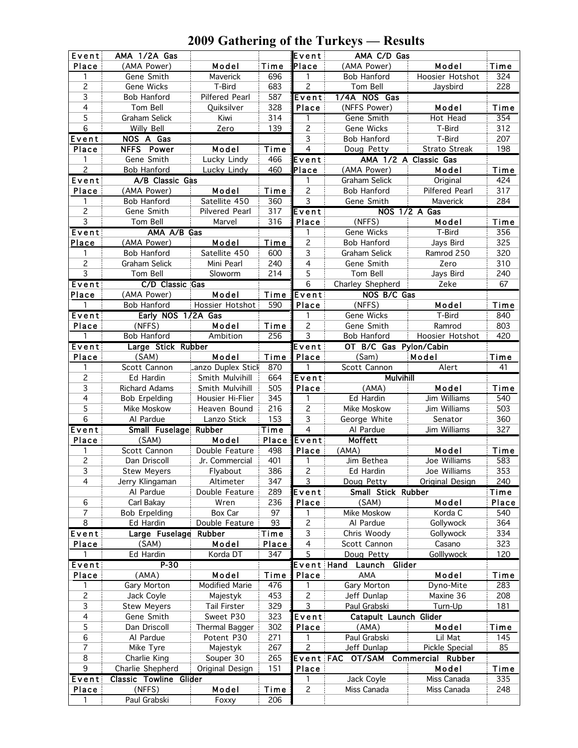| Event          | AMA 1/2A Gas                  |                       |             | Event                   | AMA C/D Gas            |                       |       |
|----------------|-------------------------------|-----------------------|-------------|-------------------------|------------------------|-----------------------|-------|
| Place          | (AMA Power)                   | Model                 | Time        | Place                   | (AMA Power)            | Model                 | Time  |
| 1              | Gene Smith                    | Maverick              | 696         | 1                       | Bob Hanford            | Hoosier Hotshot       | 324   |
| 2              | Gene Wicks                    | T-Bird                | 683         | 2                       | Tom Bell               | Jaysbird              | 228   |
| 3              | <b>Bob Hanford</b>            | Pilfered Pearl        | 587         | Event                   | 1/4A NOS Gas           |                       |       |
| $\overline{4}$ | Tom Bell                      | Quiksilver            | 328         | Place                   | (NFFS Power)           | Model                 | Time  |
| 5              | Graham Selick                 | Kiwi                  | 314         | 1                       | Gene Smith             | Hot Head              | 354   |
| $\,6$          | <b>Willy Bell</b>             | Zero                  | 139         | 2                       | Gene Wicks             | T-Bird                | 312   |
| Event          | NOS A Gas                     |                       |             | 3                       | <b>Bob Hanford</b>     | T-Bird                | 207   |
| Place          | NFFS Power                    | Model                 | Time        | $\overline{4}$          | Doug Petty             | Strato Streak         | 198   |
| 1              | Gene Smith                    | Lucky Lindy           | 466         | Event                   |                        | AMA 1/2 A Classic Gas |       |
| $\overline{2}$ | <b>Bob Hanford</b>            | Lucky Lindy           | 460         | Place                   | (AMA Power)            | Model                 | Time  |
| Event          | $\overline{A/B}$ Classic Gas  |                       |             | 1                       | Graham Selick          | Original              | 424   |
| Place          | (AMA Power)                   | Model                 | Time        | $\overline{c}$          | Bob Hanford            | Pilfered Pearl        | 317   |
| 1              | Bob Hanford                   | Satellite 450         | 360         | 3                       | Gene Smith             | Maverick              | 284   |
| $\overline{c}$ | Gene Smith                    | Pilvered Pearl        | 317         | <b>Event</b>            |                        | NOS 1/2 A Gas         |       |
| $\overline{3}$ | Tom Bell                      | Marvel                | 316         | Place                   | (NFFS)                 | Model                 | Time  |
| Event          | AMA A/B Gas                   |                       |             | 1                       | Gene Wicks             | T-Bird                | 356   |
| Place          | (AMA Power)                   | Model                 | Time        | $\mathbf{2}$            | Bob Hanford            | Jays Bird             | 325   |
| 1              | Bob Hanford                   | Satellite 450         | 600         | 3                       | Graham Selick          | Ramrod 250            | 320   |
| $\overline{c}$ | Graham Selick                 | Mini Pearl            | 240         | $\overline{4}$          | Gene Smith             | Zero                  | 310   |
| 3              | Tom Bell                      | Sloworm               | 214         | 5                       | Tom Bell               | Jays Bird             | 240   |
| Event          | C/D Classic Gas               |                       |             | 6                       | Charley Shepherd       | Zeke                  | 67    |
| Place          | (AMA Power)                   | Model                 | Time        | Event                   | NOS B/C Gas            |                       |       |
| 1              | Bob Hanford                   | Hossier Hotshot       | 590         | Place                   | (NFFS)                 | Model                 | Time  |
| Event          | Early NOS 1/2A Gas            |                       |             | 1                       | Gene Wicks             | T-Bird                | 840   |
| Place          | (NFFS)                        | Model                 | Time        | $\overline{c}$          | Gene Smith             | Ramrod                | 803   |
| 1              | Bob Hanford                   | Ambition              | 256         | 3                       | Bob Hanford            | Hoosier Hotshot       | 420   |
| Event          | Large Stick Rubber            |                       |             | Event                   | OT B/C Gas Pylon/Cabin |                       |       |
| Place          | (SAM)                         | Model                 | Time        | Place                   | (Sam)                  | Model                 | Time  |
| 1              | Scott Cannon                  | Lanzo Duplex Stick    | 870         | 1                       | Scott Cannon           | Alert                 | 41    |
| 2              | Ed Hardin                     | Smith Mulvihill       | 664         | Event                   | <b>Mulvihill</b>       |                       |       |
| 3              | <b>Richard Adams</b>          | Smith Mulvihill       | 505         | Place                   | (AMA)                  | Model                 | Time  |
| $\overline{4}$ | <b>Bob Erpelding</b>          | Housier Hi-Flier      | 345         | 1                       | Ed Hardin              | Jim Williams          | 540   |
| 5              | Mike Moskow                   | Heaven Bound          | 216         | 2                       | Mike Moskow            | Jim Williams          | 503   |
| 6              | Al Pardue                     | Lanzo Stick           | 153         | 3                       | George White           | Senator               | 360   |
| Event          | Small Fuselage Rubber         |                       | Time        | $\overline{\mathbf{4}}$ |                        |                       |       |
|                |                               |                       |             |                         | Al Pardue              | Jim Williams          | 327   |
| Place          | (SAM)                         | Model                 | Place       | Event                   | Moffett                |                       |       |
| 1              | Scott Cannon                  | Double Feature        | 498         | Place                   | (AMA)                  | Model                 | Time  |
| $\overline{c}$ | Dan Driscoll                  | Jr. Commercial        | 401         | 1                       | Jim Bethea             | Joe Williams          | 583   |
| $\overline{3}$ | <b>Stew Meyers</b>            | Flyabout              | 386         | $\overline{c}$          | Ed Hardin              | Joe Williams          | 353   |
| 4              | Jerry Klingaman               | Altimeter             | 347         | 3                       | Doug Petty             | Original Design       | 240   |
|                | Al Pardue                     | Double Feature        | 289         | Event                   | Small Stick Rubber     |                       | Time  |
| 6              | Carl Bakay                    | Wren                  | 236         | Place                   | (SAM)                  | Model                 | Place |
| 7              | <b>Bob Erpelding</b>          | Box Car               | 97          | 1                       | Mike Moskow            | Korda C               | 540   |
| 8              | Ed Hardin                     | Double Feature        | 93          | 2                       | Al Pardue              | Gollywock             | 364   |
| Event          | Large Fuselage Rubber         |                       | Time        | 3                       | Chris Woody            | Gollywock             | 334   |
| Place          | (SAM)                         | Model                 | Place       | 4                       | Scott Cannon           | Casano                | 323   |
|                | Ed Hardin                     | Korda DT              | 347         | 5                       | Doug Petty             | <b>Golllywock</b>     | 120   |
| Event          | $P-30$                        |                       |             | <b>Event Hand</b>       | Glider<br>Launch       |                       |       |
| Place          | (AMA)                         | Model                 | Time        | Place                   | AMA                    | Model                 | Time  |
| 1              | Gary Morton                   | Modified Marie        | 476         | 1                       | Gary Morton            | Dyno-Mite             | 283   |
| 2              | Jack Coyle                    | Majestyk              | 453         | $\overline{c}$          | Jeff Dunlap            | Maxine 36             | 208   |
| 3              | <b>Stew Meyers</b>            | <b>Tail Firster</b>   | 329         | 3                       | Paul Grabski           | Turn-Up               | 181   |
| 4              | Gene Smith                    | Sweet P30             | 323         | Event                   | Catapult Launch Glider |                       |       |
| 5              | Dan Driscoll                  | <b>Thermal Bagger</b> | 302         | Place                   | (AMA)                  | Model                 | Time  |
| 6              | Al Pardue                     | Potent P30            | 271         | 1                       | Paul Grabski           | Lil Mat               | 145   |
| 7              | Mike Tyre                     | Majestyk              | 267         | 2                       | Jeff Dunlap            | <b>Pickle Special</b> | 85    |
| 8              | Charlie King                  | Souper 30             | 265         | <b>Event FAC</b>        | OT/SAM                 | Commercial Rubber     |       |
| 9              | Charlie Shepherd              | Original Design       | 151         | Place                   |                        | Model                 | Time  |
| Event          | <b>Classic Towline Glider</b> |                       |             | 1                       | Jack Coyle             | Miss Canada           | 335   |
| Place<br>1     | (NFFS)<br>Paul Grabski        | Model<br>Foxxy        | Time<br>206 | $\mathbf{2}$            | Miss Canada            | Miss Canada           | 248   |

## **2009 Gathering of the Turkeys — Results**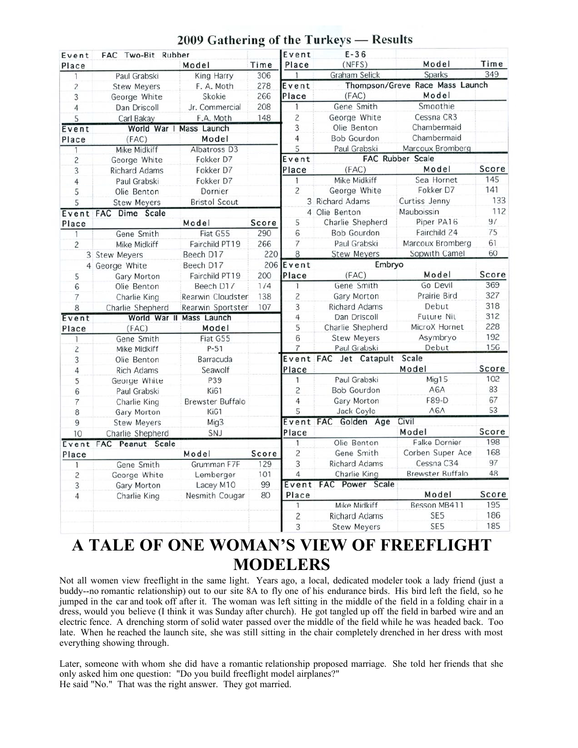| Event          | FAC Two-Bit Rubber     |                         |       | Event          | $E-36$                          |                      |       |
|----------------|------------------------|-------------------------|-------|----------------|---------------------------------|----------------------|-------|
| Place          |                        | Model                   | Time  | Place          | (NFFS)                          | Model                | Time  |
| $\mathbf{1}$   | Paul Grabski           | King Harry              | 306   | 1              | Graham Selick                   | Sparks               | 349   |
| $\overline{c}$ | <b>Stew Meyers</b>     | F. A. Moth              | 278   | Event          | Thompson/Greve Race Mass Launch |                      |       |
| 3              | George White           | Skokie                  | 266   | Place          | (FAC)                           | Model                |       |
| 4              | Dan Driscoll           | Jr. Commercial          | 208   | 1              | Gene Smith                      | Smoothie             |       |
| 5              | Carl Bakay             | F.A. Moth               | 148   | $\overline{c}$ | George White                    | Cessna CR3           |       |
| Event          |                        | World War I Mass Launch |       | $\overline{3}$ | Olie Benton                     | Chambermaid          |       |
| Place          | (FAC)                  | Model                   |       | 4              | <b>Bob Gourdon</b>              | Chambermaid          |       |
| 1              | Mike Midkiff           | Albatross D3            |       | 5              | Paul Grabski                    | Marcoux Bromberg     |       |
| $\overline{c}$ | George White           | Fokker D7               |       | Event          |                                 | FAC Rubber Scale     |       |
| 3              | <b>Richard Adams</b>   | Fokker D7               |       | Place          | (FAC)                           | Model                | Score |
| $\overline{4}$ | Paul Grabski           | Fokker D7               |       | 1              | Mike Midkiff                    | Sea Hornet           | 145   |
| 5              | Olie Benton            | Dornier                 |       | $\overline{c}$ | George White                    | Fokker D7            | 141   |
| 5              | <b>Stew Meyers</b>     | <b>Bristol Scout</b>    |       |                | 3 Richard Adams                 | Curtiss Jenny        | 133   |
|                | Event FAC Dime Scale   |                         |       |                | 4 Olie Benton                   | Mauboissin           | 112   |
| Place          |                        | Model                   | Score | 5              | Charlie Shepherd                | Piper PA16           | 97    |
| 1              | Gene Smith             | Fiat G55                | 290   | 6              | <b>Bob Gourdon</b>              | Fairchild 24         | 75    |
| 2              | Mike Midkiff           | Fairchild PT19          | 266   | 7              | Paul Grabski                    | Marcoux Bromberg     | 61    |
|                | 3 Stew Meyers          | Beech D17               | 220   | 8              | <b>Stew Meyers</b>              | Sopwith Camel        | 60    |
|                | 4 George White         | Beech D17               |       | 206 Event      | Embryo                          |                      |       |
| 5              | Gary Morton            | Fairchild PT19          | 200   | Place          | (FAC)                           | Model                | Score |
| 6              | Olie Benton            | Beech D17               | 174   | $\mathbf{1}$   | Gene Smith                      | Go Devil             | 369   |
| 7              | Charlie King           | Rearwin Cloudster       | 138   | $\overline{c}$ | Gary Morton                     | Prairie Bird         | 327   |
| 8              | Charlie Shepherd       | Rearwin Sportster       | 107   | 3              | <b>Richard Adams</b>            | Debut                | 318   |
| Event          | World War II           | Mass Launch             |       | 4              | Dan Driscoll                    | <b>Future Nit</b>    | 312   |
| Place          | (FAC)                  | Model                   |       | 5              | Charlie Shepherd                | MicroX Hornet        | 228   |
| $\mathbf{1}$   | Gene Smith             | Fiat G55                |       | 6              | <b>Stew Meyers</b>              | Asymbryo             | 192   |
| $\overline{c}$ | Mike Midkiff           | P-51                    |       | 7              | Paul Grabski                    | Debut                | 156   |
| 3              | Olie Benton            | Barracuda               |       |                | Event FAC Jet Catapult          | Scale                |       |
| $\overline{4}$ | <b>Rich Adams</b>      | Seawolf                 |       | Place          |                                 | Model                | Score |
| 5              | George White           | P39                     |       | $\mathbf{1}$   | Paul Grabski                    | Mig15                | 102   |
| 6              | Paul Grabski           | Ki61                    |       | 2              | <b>Bob Gourdon</b>              | A6A                  | 83    |
| $\overline{7}$ | Charlie King           | Brewster Buffalo        |       | 4              | Gary Morton                     | F89-D                | 67    |
| 8              | Gary Morton            | Ki61                    |       | 5              | Jack Coyle                      | A6A                  | 53    |
| 9              | <b>Stew Meyers</b>     | Mig3                    |       | Event FAC      | Golden Age                      | Civil                |       |
| 10             | Charlie Shepherd       | SNJ                     |       | Place          |                                 | Model                | Score |
|                | Event FAC Peanut Scale |                         |       | $\mathbf{1}$   | Olie Benton                     | <b>Falke Dornier</b> | 198   |
| Place          |                        | Model                   | Score | $\overline{c}$ | Gene Smith                      | Corben Super Ace     | 168   |
| 1              | Gene Smith             | Grumman F7F             | 129   | 3              | <b>Richard Adams</b>            | Cessna C34           | 97    |
| $\overline{c}$ | George White           | Lemberger               | 101   | $\overline{4}$ | Charlie King                    | Brewster Buffalo     | 48    |
| 3              | Gary Morton            | Lacey M10               | 99    | Event          | FAC Power Scale                 |                      |       |
| 4              | Charlie King           | Nesmith Cougar          | 80    | Place          |                                 | Model                | Score |
|                |                        |                         |       | 1              | Mike Midkiff                    | Besson MB411         | 195   |
|                |                        |                         |       | $\overline{c}$ | <b>Richard Adams</b>            | SE <sub>5</sub>      | 186   |
|                |                        |                         |       | 3              | <b>Stew Meyers</b>              | SE <sub>5</sub>      | 185   |

### 2009 Gathering of the Turkeys - Results

# **A TALE OF ONE WOMAN'S VIEW OF FREEFLIGHT MODELERS**

Not all women view freeflight in the same light. Years ago, a local, dedicated modeler took a lady friend (just a buddy--no romantic relationship) out to our site 8A to fly one of his endurance birds. His bird left the field, so he jumped in the car and took off after it. The woman was left sitting in the middle of the field in a folding chair in a dress, would you believe (I think it was Sunday after church). He got tangled up off the field in barbed wire and an electric fence. A drenching storm of solid water passed over the middle of the field while he was headed back. Too late. When he reached the launch site, she was still sitting in the chair completely drenched in her dress with most everything showing through.

Later, someone with whom she did have a romantic relationship proposed marriage. She told her friends that she only asked him one question: "Do you build freeflight model airplanes?" He said "No." That was the right answer. They got married.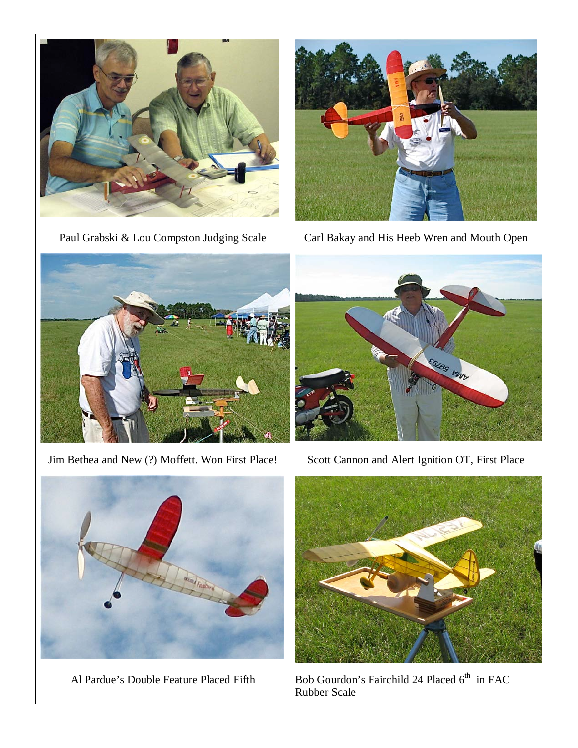



Paul Grabski & Lou Compston Judging Scale Carl Bakay and His Heeb Wren and Mouth Open



Jim Bethea and New (?) Moffett. Won First Place! Scott Cannon and Alert Ignition OT, First Place







Al Pardue's Double Feature Placed Fifth Bob Gourdon's Fairchild 24 Placed 6<sup>th</sup> in FAC Rubber Scale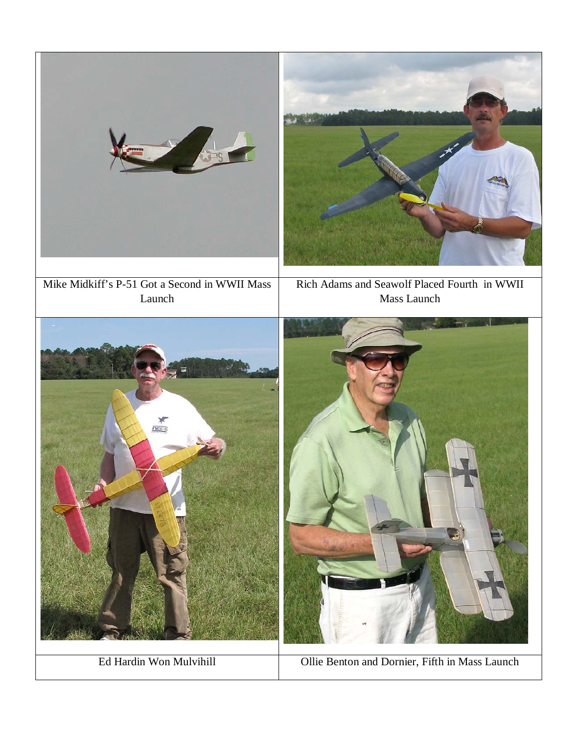

Ed Hardin Won Mulvihill Ollie Benton and Dornier, Fifth in Mass Launch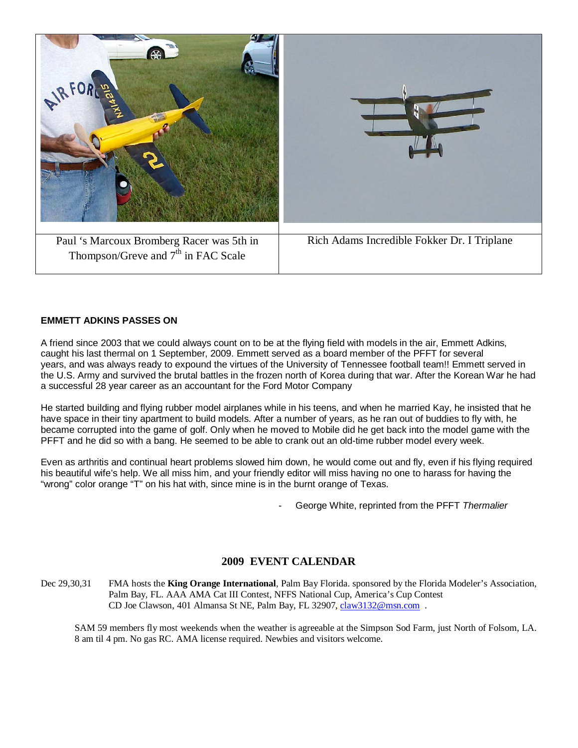

#### **EMMETT ADKINS PASSES ON**

A friend since 2003 that we could always count on to be at the flying field with models in the air, Emmett Adkins, caught his last thermal on 1 September, 2009. Emmett served as a board member of the PFFT for several years, and was always ready to expound the virtues of the University of Tennessee football team!! Emmett served in the U.S. Army and survived the brutal battles in the frozen north of Korea during that war. After the Korean War he had a successful 28 year career as an accountant for the Ford Motor Company

He started building and flying rubber model airplanes while in his teens, and when he married Kay, he insisted that he have space in their tiny apartment to build models. After a number of years, as he ran out of buddies to fly with, he became corrupted into the game of golf. Only when he moved to Mobile did he get back into the model game with the PFFT and he did so with a bang. He seemed to be able to crank out an old-time rubber model every week.

Even as arthritis and continual heart problems slowed him down, he would come out and fly, even if his flying required his beautiful wife's help. We all miss him, and your friendly editor will miss having no one to harass for having the "wrong" color orange "T" on his hat with, since mine is in the burnt orange of Texas.

- George White, reprinted from the PFFT *Thermalier*

### **2009 EVENT CALENDAR**

Dec 29,30,31 FMA hosts the **King Orange International**, Palm Bay Florida. sponsored by the Florida Modeler's Association, Palm Bay, FL. AAA AMA Cat III Contest, NFFS National Cup, America's Cup Contest CD Joe Clawson, 401 Almansa St NE, Palm Bay, FL 32907, [claw3132@msn.com](mailto:claw3132@msn.com) .

SAM 59 members fly most weekends when the weather is agreeable at the Simpson Sod Farm, just North of Folsom, LA. 8 am til 4 pm. No gas RC. AMA license required. Newbies and visitors welcome.